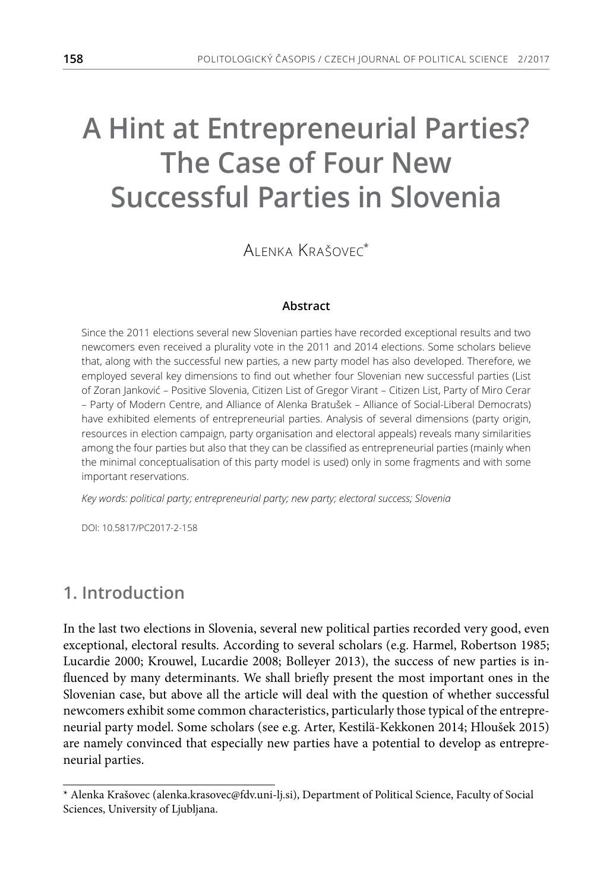# **A Hint at Entrepreneurial Parties? The Case of Four New Successful Parties in Slovenia**

Alenka Krašovec\*

#### **Abstract**

Since the 2011 elections several new Slovenian parties have recorded exceptional results and two newcomers even received a plurality vote in the 2011 and 2014 elections. Some scholars believe that, along with the successful new parties, a new party model has also developed. Therefore, we employed several key dimensions to find out whether four Slovenian new successful parties (List of Zoran Janković – Positive Slovenia, Citizen List of Gregor Virant – Citizen List, Party of Miro Cerar – Party of Modern Centre, and Alliance of Alenka Bratušek – Alliance of Social-Liberal Democrats) have exhibited elements of entrepreneurial parties. Analysis of several dimensions (party origin, resources in election campaign, party organisation and electoral appeals) reveals many similarities among the four parties but also that they can be classified as entrepreneurial parties (mainly when the minimal conceptualisation of this party model is used) only in some fragments and with some important reservations.

*Key words: political party; entrepreneurial party; new party; electoral success; Slovenia*

DOI: 10.5817/PC2017-2-158

# **1. Introduction**

In the last two elections in Slovenia, several new political parties recorded very good, even exceptional, electoral results. According to several scholars (e.g. Harmel, Robertson 1985; Lucardie 2000; Krouwel, Lucardie 2008; Bolleyer 2013), the success of new parties is influenced by many determinants. We shall briefly present the most important ones in the Slovenian case, but above all the article will deal with the question of whether successful newcomers exhibit some common characteristics, particularly those typical of the entrepreneurial party model. Some scholars (see e.g. Arter, Kestilä-Kekkonen 2014; Hloušek 2015) are namely convinced that especially new parties have a potential to develop as entrepreneurial parties.

<sup>\*</sup> Alenka Krašovec (alenka.krasovec@fdv.uni-lj.si), Department of Political Science, Faculty of Social Sciences, University of Ljubljana.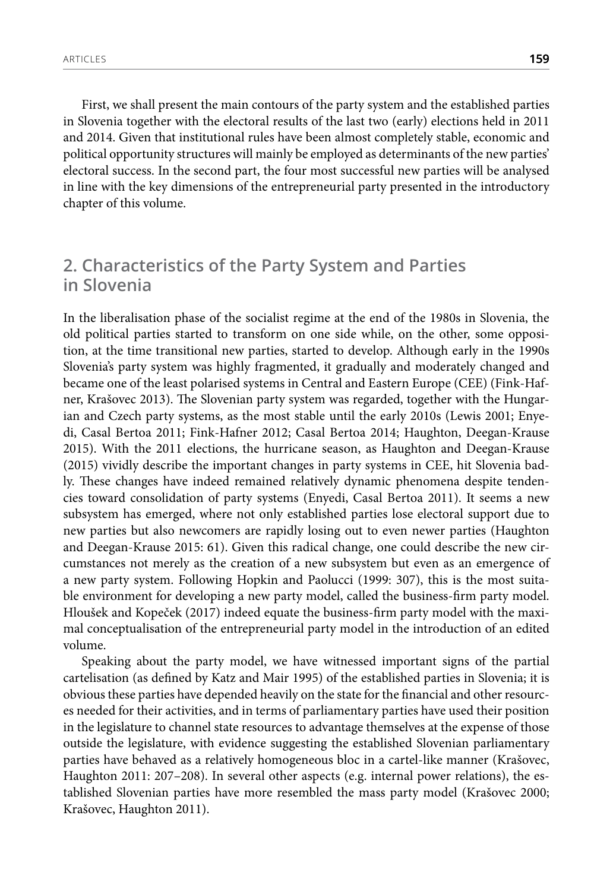First, we shall present the main contours of the party system and the established parties in Slovenia together with the electoral results of the last two (early) elections held in 2011 and 2014. Given that institutional rules have been almost completely stable, economic and political opportunity structures will mainly be employed as determinants of the new parties' electoral success. In the second part, the four most successful new parties will be analysed in line with the key dimensions of the entrepreneurial party presented in the introductory chapter of this volume.

# **2. Characteristics of the Party System and Parties in Slovenia**

In the liberalisation phase of the socialist regime at the end of the 1980s in Slovenia, the old political parties started to transform on one side while, on the other, some opposition, at the time transitional new parties, started to develop. Although early in the 1990s Slovenia's party system was highly fragmented, it gradually and moderately changed and became one of the least polarised systems in Central and Eastern Europe (CEE) (Fink-Hafner, Krašovec 2013). The Slovenian party system was regarded, together with the Hungarian and Czech party systems, as the most stable until the early 2010s (Lewis 2001; Enyedi, Casal Bertoa 2011; Fink-Hafner 2012; Casal Bertoa 2014; Haughton, Deegan-Krause 2015). With the 2011 elections, the hurricane season, as Haughton and Deegan-Krause (2015) vividly describe the important changes in party systems in CEE, hit Slovenia badly. These changes have indeed remained relatively dynamic phenomena despite tendencies toward consolidation of party systems (Enyedi, Casal Bertoa 2011). It seems a new subsystem has emerged, where not only established parties lose electoral support due to new parties but also newcomers are rapidly losing out to even newer parties (Haughton and Deegan-Krause 2015: 61). Given this radical change, one could describe the new circumstances not merely as the creation of a new subsystem but even as an emergence of a new party system. Following Hopkin and Paolucci (1999: 307), this is the most suitable environment for developing a new party model, called the business-firm party model. Hloušek and Kopeček (2017) indeed equate the business-firm party model with the maximal conceptualisation of the entrepreneurial party model in the introduction of an edited volume.

Speaking about the party model, we have witnessed important signs of the partial cartelisation (as defined by Katz and Mair 1995) of the established parties in Slovenia; it is obvious these parties have depended heavily on the state for the financial and other resources needed for their activities, and in terms of parliamentary parties have used their position in the legislature to channel state resources to advantage themselves at the expense of those outside the legislature, with evidence suggesting the established Slovenian parliamentary parties have behaved as a relatively homogeneous bloc in a cartel-like manner (Krašovec, Haughton 2011: 207–208). In several other aspects (e.g. internal power relations), the established Slovenian parties have more resembled the mass party model (Krašovec 2000; Krašovec, Haughton 2011).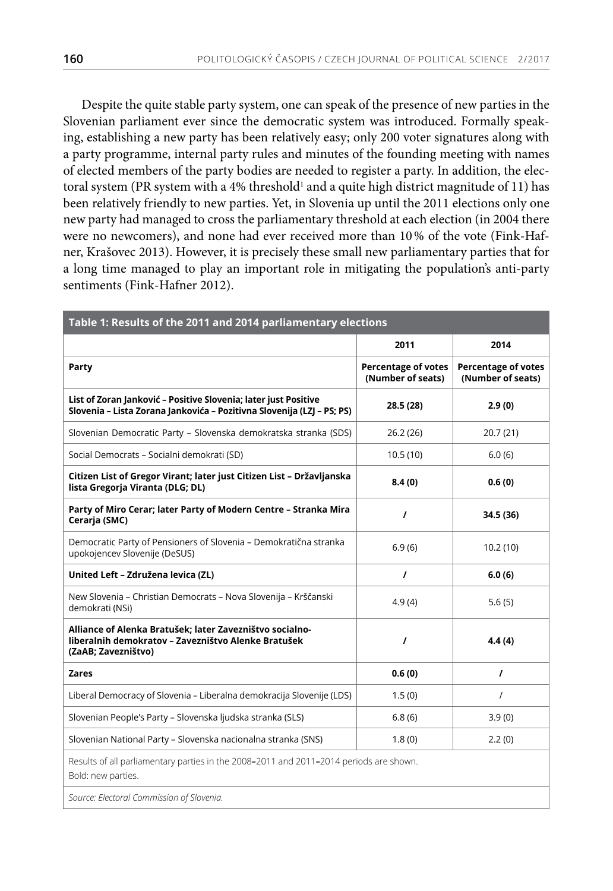Despite the quite stable party system, one can speak of the presence of new parties in the Slovenian parliament ever since the democratic system was introduced. Formally speaking, establishing a new party has been relatively easy; only 200 voter signatures along with a party programme, internal party rules and minutes of the founding meeting with names of elected members of the party bodies are needed to register a party. In addition, the electoral system (PR system with a 4% threshold $^{\scriptscriptstyle 1}$  and a quite high district magnitude of 11) has been relatively friendly to new parties. Yet, in Slovenia up until the 2011 elections only one new party had managed to cross the parliamentary threshold at each election (in 2004 there were no newcomers), and none had ever received more than 10% of the vote (Fink-Hafner, Krašovec 2013). However, it is precisely these small new parliamentary parties that for a long time managed to play an important role in mitigating the population's anti-party sentiments (Fink-Hafner 2012).

| Table 1: Results of the 2011 and 2014 parliamentary elections                                                                             |                                                 |                                                 |
|-------------------------------------------------------------------------------------------------------------------------------------------|-------------------------------------------------|-------------------------------------------------|
|                                                                                                                                           | 2011                                            | 2014                                            |
| Party                                                                                                                                     | <b>Percentage of votes</b><br>(Number of seats) | <b>Percentage of votes</b><br>(Number of seats) |
| List of Zoran Janković - Positive Slovenia; later just Positive<br>Slovenia - Lista Zorana Jankovića - Pozitivna Slovenija (LZJ - PS; PS) | 28.5 (28)                                       | 2.9(0)                                          |
| Slovenian Democratic Party - Slovenska demokratska stranka (SDS)                                                                          | 26.2(26)                                        | 20.7(21)                                        |
| Social Democrats - Socialni demokrati (SD)                                                                                                | 10.5(10)                                        | 6.0(6)                                          |
| Citizen List of Gregor Virant; later just Citizen List - Državljanska<br>lista Gregorja Viranta (DLG; DL)                                 | 8.4(0)                                          | 0.6(0)                                          |
| Party of Miro Cerar; later Party of Modern Centre - Stranka Mira<br>Cerarja (SMC)                                                         | $\prime$                                        | 34.5 (36)                                       |
| Democratic Party of Pensioners of Slovenia - Demokratična stranka<br>upokojencev Slovenije (DeSUS)                                        | 6.9(6)                                          | 10.2(10)                                        |
| United Left - Združena levica (ZL)                                                                                                        | $\prime$                                        | 6.0(6)                                          |
| New Slovenia - Christian Democrats - Nova Slovenija - Krščanski<br>demokrati (NSi)                                                        | 4.9(4)                                          | 5.6(5)                                          |
| Alliance of Alenka Bratušek; later Zavezništvo socialno-<br>liberalnih demokratov - Zavezništvo Alenke Bratušek<br>(ZaAB; Zavezništvo)    | $\prime$                                        | 4.4(4)                                          |
| <b>Zares</b>                                                                                                                              | 0.6(0)                                          | $\prime$                                        |
| Liberal Democracy of Slovenia - Liberalna demokracija Slovenije (LDS)                                                                     | 1.5(0)                                          | $\prime$                                        |
| Slovenian People's Party - Slovenska ljudska stranka (SLS)                                                                                | 6.8(6)                                          | 3.9(0)                                          |
| Slovenian National Party - Slovenska nacionalna stranka (SNS)                                                                             | 1.8(0)                                          | 2.2(0)                                          |
| Results of all parliamentary parties in the 2008-2011 and 2011-2014 periods are shown.<br>Bold: new parties.                              |                                                 |                                                 |
| Source: Electoral Commission of Slovenia.                                                                                                 |                                                 |                                                 |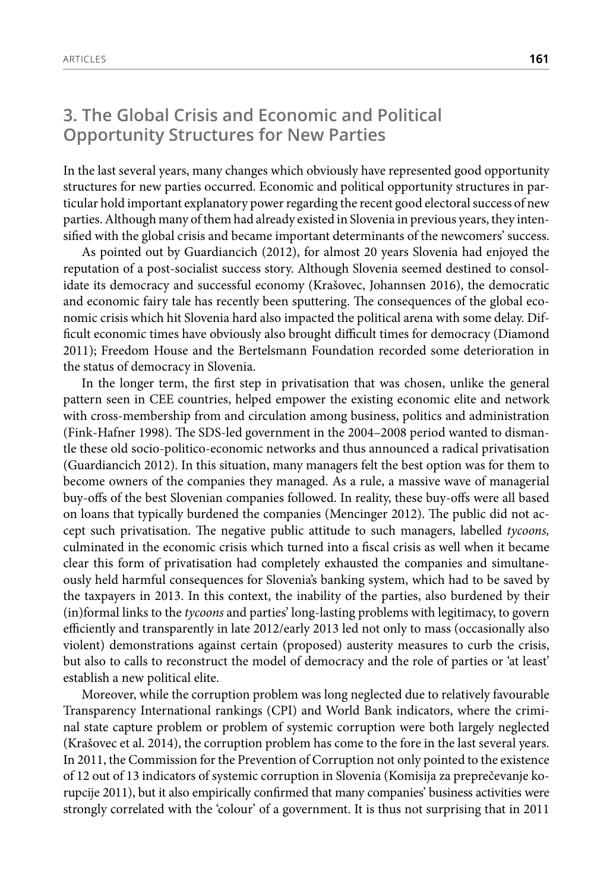# **3. The Global Crisis and Economic and Political Opportunity Structures for New Parties**

In the last several years, many changes which obviously have represented good opportunity structures for new parties occurred. Economic and political opportunity structures in particular hold important explanatory power regarding the recent good electoral success of new parties. Although many of them had already existed in Slovenia in previous years, they intensified with the global crisis and became important determinants of the newcomers' success.

As pointed out by Guardiancich (2012), for almost 20 years Slovenia had enjoyed the reputation of a post-socialist success story. Although Slovenia seemed destined to consolidate its democracy and successful economy (Krašovec, Johannsen 2016), the democratic and economic fairy tale has recently been sputtering. The consequences of the global economic crisis which hit Slovenia hard also impacted the political arena with some delay. Difficult economic times have obviously also brought difficult times for democracy (Diamond 2011); Freedom House and the Bertelsmann Foundation recorded some deterioration in the status of democracy in Slovenia.

In the longer term, the first step in privatisation that was chosen, unlike the general pattern seen in CEE countries, helped empower the existing economic elite and network with cross-membership from and circulation among business, politics and administration (Fink-Hafner 1998). The SDS-led government in the 2004–2008 period wanted to dismantle these old socio-politico-economic networks and thus announced a radical privatisation (Guardiancich 2012). In this situation, many managers felt the best option was for them to become owners of the companies they managed. As a rule, a massive wave of managerial buy-offs of the best Slovenian companies followed. In reality, these buy-offs were all based on loans that typically burdened the companies (Mencinger 2012). The public did not accept such privatisation. The negative public attitude to such managers, labelled *tycoons,*  culminated in the economic crisis which turned into a fiscal crisis as well when it became clear this form of privatisation had completely exhausted the companies and simultaneously held harmful consequences for Slovenia's banking system, which had to be saved by the taxpayers in 2013. In this context, the inability of the parties, also burdened by their (in)formal links to the *tycoons* and parties' long-lasting problems with legitimacy, to govern efficiently and transparently in late 2012/early 2013 led not only to mass (occasionally also violent) demonstrations against certain (proposed) austerity measures to curb the crisis, but also to calls to reconstruct the model of democracy and the role of parties or 'at least' establish a new political elite.

Moreover, while the corruption problem was long neglected due to relatively favourable Transparency International rankings (CPI) and World Bank indicators, where the criminal state capture problem or problem of systemic corruption were both largely neglected (Krašovec et al. 2014), the corruption problem has come to the fore in the last several years. In 2011, the Commission for the Prevention of Corruption not only pointed to the existence of 12 out of 13 indicators of systemic corruption in Slovenia (Komisija za preprečevanje korupcije 2011), but it also empirically confirmed that many companies' business activities were strongly correlated with the 'colour' of a government. It is thus not surprising that in 2011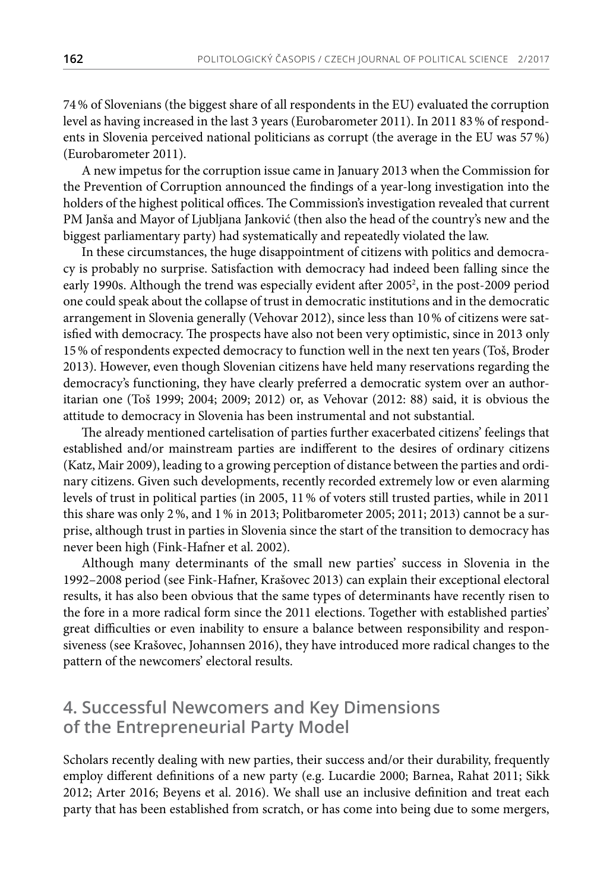74% of Slovenians (the biggest share of all respondents in the EU) evaluated the corruption level as having increased in the last 3 years (Eurobarometer 2011). In 2011 83% of respondents in Slovenia perceived national politicians as corrupt (the average in the EU was 57%) (Eurobarometer 2011).

A new impetus for the corruption issue came in January 2013 when the Commission for the Prevention of Corruption announced the findings of a year-long investigation into the holders of the highest political offices. The Commission's investigation revealed that current PM Janša and Mayor of Ljubljana Janković (then also the head of the country's new and the biggest parliamentary party) had systematically and repeatedly violated the law.

In these circumstances, the huge disappointment of citizens with politics and democracy is probably no surprise. Satisfaction with democracy had indeed been falling since the early 1990s. Although the trend was especially evident after 2005<sup>2</sup>, in the post-2009 period one could speak about the collapse of trust in democratic institutions and in the democratic arrangement in Slovenia generally (Vehovar 2012), since less than 10% of citizens were satisfied with democracy. The prospects have also not been very optimistic, since in 2013 only 15% of respondents expected democracy to function well in the next ten years (Toš, Broder 2013). However, even though Slovenian citizens have held many reservations regarding the democracy's functioning, they have clearly preferred a democratic system over an authoritarian one (Toš 1999; 2004; 2009; 2012) or, as Vehovar (2012: 88) said, it is obvious the attitude to democracy in Slovenia has been instrumental and not substantial.

The already mentioned cartelisation of parties further exacerbated citizens' feelings that established and/or mainstream parties are indifferent to the desires of ordinary citizens (Katz, Mair 2009), leading to a growing perception of distance between the parties and ordinary citizens. Given such developments, recently recorded extremely low or even alarming levels of trust in political parties (in 2005, 11% of voters still trusted parties, while in 2011 this share was only 2%, and 1% in 2013; Politbarometer 2005; 2011; 2013) cannot be a surprise, although trust in parties in Slovenia since the start of the transition to democracy has never been high (Fink-Hafner et al. 2002).

Although many determinants of the small new parties' success in Slovenia in the 1992–2008 period (see Fink-Hafner, Krašovec 2013) can explain their exceptional electoral results, it has also been obvious that the same types of determinants have recently risen to the fore in a more radical form since the 2011 elections. Together with established parties' great difficulties or even inability to ensure a balance between responsibility and responsiveness (see Krašovec, Johannsen 2016), they have introduced more radical changes to the pattern of the newcomers' electoral results.

# **4. Successful Newcomers and Key Dimensions of the Entrepreneurial Party Model**

Scholars recently dealing with new parties, their success and/or their durability, frequently employ different definitions of a new party (e.g. Lucardie 2000; Barnea, Rahat 2011; Sikk 2012; Arter 2016; Beyens et al. 2016). We shall use an inclusive definition and treat each party that has been established from scratch, or has come into being due to some mergers,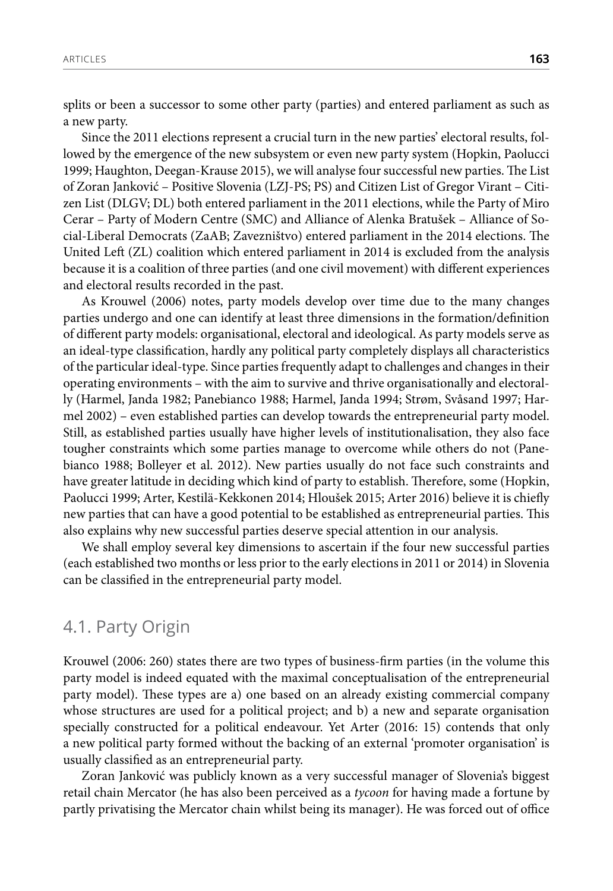splits or been a successor to some other party (parties) and entered parliament as such as a new party.

Since the 2011 elections represent a crucial turn in the new parties' electoral results, followed by the emergence of the new subsystem or even new party system (Hopkin, Paolucci 1999; Haughton, Deegan-Krause 2015), we will analyse four successful new parties. The List of Zoran Janković – Positive Slovenia (LZJ-PS; PS) and Citizen List of Gregor Virant – Citizen List (DLGV; DL) both entered parliament in the 2011 elections, while the Party of Miro Cerar – Party of Modern Centre (SMC) and Alliance of Alenka Bratušek – Alliance of Social-Liberal Democrats (ZaAB; Zavezništvo) entered parliament in the 2014 elections. The United Left (ZL) coalition which entered parliament in 2014 is excluded from the analysis because it is a coalition of three parties (and one civil movement) with different experiences and electoral results recorded in the past.

As Krouwel (2006) notes, party models develop over time due to the many changes parties undergo and one can identify at least three dimensions in the formation/definition of different party models: organisational, electoral and ideological. As party models serve as an ideal-type classification, hardly any political party completely displays all characteristics of the particular ideal-type. Since parties frequently adapt to challenges and changes in their operating environments – with the aim to survive and thrive organisationally and electorally (Harmel, Janda 1982; Panebianco 1988; Harmel, Janda 1994; Strøm, Svåsand 1997; Harmel 2002) – even established parties can develop towards the entrepreneurial party model. Still, as established parties usually have higher levels of institutionalisation, they also face tougher constraints which some parties manage to overcome while others do not (Panebianco 1988; Bolleyer et al. 2012). New parties usually do not face such constraints and have greater latitude in deciding which kind of party to establish. Therefore, some (Hopkin, Paolucci 1999; Arter, Kestilä-Kekkonen 2014; Hloušek 2015; Arter 2016) believe it is chiefly new parties that can have a good potential to be established as entrepreneurial parties. This also explains why new successful parties deserve special attention in our analysis.

We shall employ several key dimensions to ascertain if the four new successful parties (each established two months or less prior to the early elections in 2011 or 2014) in Slovenia can be classified in the entrepreneurial party model.

### 4.1. Party Origin

Krouwel (2006: 260) states there are two types of business-firm parties (in the volume this party model is indeed equated with the maximal conceptualisation of the entrepreneurial party model). These types are a) one based on an already existing commercial company whose structures are used for a political project; and b) a new and separate organisation specially constructed for a political endeavour. Yet Arter (2016: 15) contends that only a new political party formed without the backing of an external 'promoter organisation' is usually classified as an entrepreneurial party.

Zoran Janković was publicly known as a very successful manager of Slovenia's biggest retail chain Mercator (he has also been perceived as a *tycoon* for having made a fortune by partly privatising the Mercator chain whilst being its manager). He was forced out of office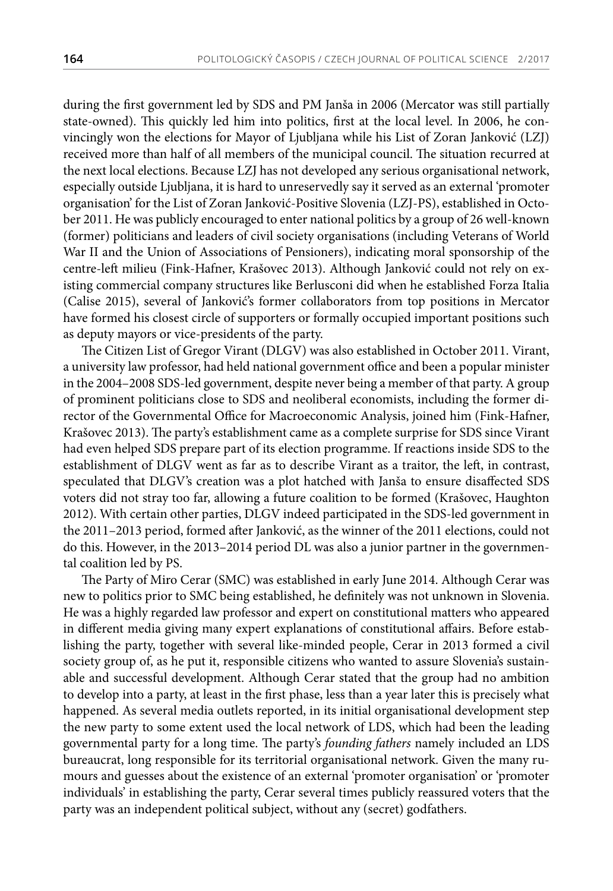during the first government led by SDS and PM Janša in 2006 (Mercator was still partially state-owned). This quickly led him into politics, first at the local level. In 2006, he convincingly won the elections for Mayor of Ljubljana while his List of Zoran Janković (LZJ) received more than half of all members of the municipal council. The situation recurred at the next local elections. Because LZJ has not developed any serious organisational network, especially outside Ljubljana, it is hard to unreservedly say it served as an external 'promoter organisation' for the List of Zoran Janković-Positive Slovenia (LZJ-PS), established in October 2011. He was publicly encouraged to enter national politics by a group of 26 well-known (former) politicians and leaders of civil society organisations (including Veterans of World War II and the Union of Associations of Pensioners), indicating moral sponsorship of the centre-left milieu (Fink-Hafner, Krašovec 2013). Although Janković could not rely on existing commercial company structures like Berlusconi did when he established Forza Italia (Calise 2015), several of Janković's former collaborators from top positions in Mercator have formed his closest circle of supporters or formally occupied important positions such as deputy mayors or vice-presidents of the party.

The Citizen List of Gregor Virant (DLGV) was also established in October 2011. Virant, a university law professor, had held national government office and been a popular minister in the 2004–2008 SDS-led government, despite never being a member of that party. A group of prominent politicians close to SDS and neoliberal economists, including the former director of the Governmental Office for Macroeconomic Analysis, joined him (Fink-Hafner, Krašovec 2013). The party's establishment came as a complete surprise for SDS since Virant had even helped SDS prepare part of its election programme. If reactions inside SDS to the establishment of DLGV went as far as to describe Virant as a traitor, the left, in contrast, speculated that DLGV's creation was a plot hatched with Janša to ensure disaffected SDS voters did not stray too far, allowing a future coalition to be formed (Krašovec, Haughton 2012). With certain other parties, DLGV indeed participated in the SDS-led government in the 2011–2013 period, formed after Janković, as the winner of the 2011 elections, could not do this. However, in the 2013–2014 period DL was also a junior partner in the governmental coalition led by PS.

The Party of Miro Cerar (SMC) was established in early June 2014. Although Cerar was new to politics prior to SMC being established, he definitely was not unknown in Slovenia. He was a highly regarded law professor and expert on constitutional matters who appeared in different media giving many expert explanations of constitutional affairs. Before establishing the party, together with several like-minded people, Cerar in 2013 formed a civil society group of, as he put it, responsible citizens who wanted to assure Slovenia's sustainable and successful development. Although Cerar stated that the group had no ambition to develop into a party, at least in the first phase, less than a year later this is precisely what happened. As several media outlets reported, in its initial organisational development step the new party to some extent used the local network of LDS, which had been the leading governmental party for a long time. The party's *founding fathers* namely included an LDS bureaucrat, long responsible for its territorial organisational network. Given the many rumours and guesses about the existence of an external 'promoter organisation' or 'promoter individuals' in establishing the party, Cerar several times publicly reassured voters that the party was an independent political subject, without any (secret) godfathers.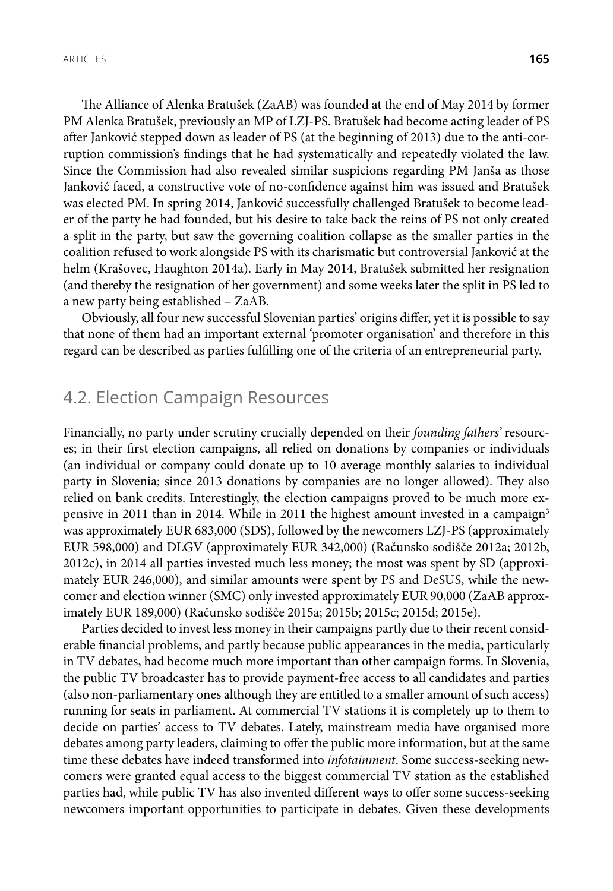The Alliance of Alenka Bratušek (ZaAB) was founded at the end of May 2014 by former PM Alenka Bratušek, previously an MP of LZJ-PS. Bratušek had become acting leader of PS after Janković stepped down as leader of PS (at the beginning of 2013) due to the anti-corruption commission's findings that he had systematically and repeatedly violated the law. Since the Commission had also revealed similar suspicions regarding PM Janša as those Janković faced, a constructive vote of no-confidence against him was issued and Bratušek was elected PM. In spring 2014, Janković successfully challenged Bratušek to become leader of the party he had founded, but his desire to take back the reins of PS not only created a split in the party, but saw the governing coalition collapse as the smaller parties in the coalition refused to work alongside PS with its charismatic but controversial Janković at the helm (Krašovec, Haughton 2014a). Early in May 2014, Bratušek submitted her resignation (and thereby the resignation of her government) and some weeks later the split in PS led to a new party being established – ZaAB.

Obviously, all four new successful Slovenian parties' origins differ, yet it is possible to say that none of them had an important external 'promoter organisation' and therefore in this regard can be described as parties fulfilling one of the criteria of an entrepreneurial party.

# 4.2. Election Campaign Resources

Financially, no party under scrutiny crucially depended on their *founding fathers'* resources; in their first election campaigns, all relied on donations by companies or individuals (an individual or company could donate up to 10 average monthly salaries to individual party in Slovenia; since 2013 donations by companies are no longer allowed). They also relied on bank credits. Interestingly, the election campaigns proved to be much more expensive in 2011 than in 2014. While in 2011 the highest amount invested in a campaign<sup>3</sup> was approximately EUR 683,000 (SDS), followed by the newcomers LZJ-PS (approximately EUR 598,000) and DLGV (approximately EUR 342,000) (Računsko sodišče 2012a; 2012b, 2012c), in 2014 all parties invested much less money; the most was spent by SD (approximately EUR 246,000), and similar amounts were spent by PS and DeSUS, while the newcomer and election winner (SMC) only invested approximately EUR 90,000 (ZaAB approximately EUR 189,000) (Računsko sodišče 2015a; 2015b; 2015c; 2015d; 2015e).

Parties decided to invest less money in their campaigns partly due to their recent considerable financial problems, and partly because public appearances in the media, particularly in TV debates, had become much more important than other campaign forms. In Slovenia, the public TV broadcaster has to provide payment-free access to all candidates and parties (also non-parliamentary ones although they are entitled to a smaller amount of such access) running for seats in parliament. At commercial TV stations it is completely up to them to decide on parties' access to TV debates. Lately, mainstream media have organised more debates among party leaders, claiming to offer the public more information, but at the same time these debates have indeed transformed into *infotainment*. Some success-seeking newcomers were granted equal access to the biggest commercial TV station as the established parties had, while public TV has also invented different ways to offer some success-seeking newcomers important opportunities to participate in debates. Given these developments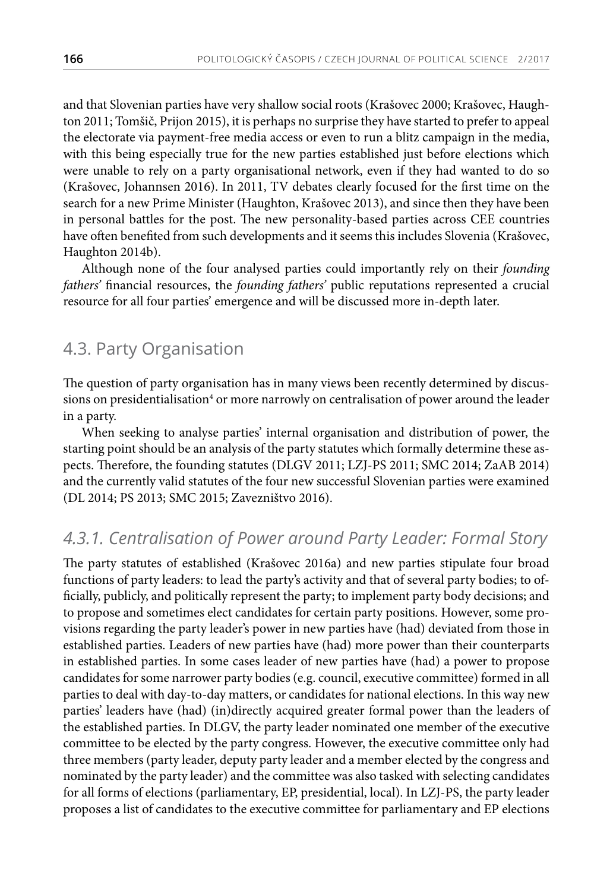and that Slovenian parties have very shallow social roots (Krašovec 2000; Krašovec, Haughton 2011; Tomšič, Prijon 2015), it is perhaps no surprise they have started to prefer to appeal the electorate via payment-free media access or even to run a blitz campaign in the media, with this being especially true for the new parties established just before elections which were unable to rely on a party organisational network, even if they had wanted to do so (Krašovec, Johannsen 2016). In 2011, TV debates clearly focused for the first time on the search for a new Prime Minister (Haughton, Krašovec 2013), and since then they have been in personal battles for the post. The new personality-based parties across CEE countries have often benefited from such developments and it seems this includes Slovenia (Krašovec, Haughton 2014b).

Although none of the four analysed parties could importantly rely on their *founding fathers'* financial resources, the *founding fathers'* public reputations represented a crucial resource for all four parties' emergence and will be discussed more in-depth later.

# 4.3. Party Organisation

The question of party organisation has in many views been recently determined by discussions on presidentialisation<sup>4</sup> or more narrowly on centralisation of power around the leader in a party.

When seeking to analyse parties' internal organisation and distribution of power, the starting point should be an analysis of the party statutes which formally determine these aspects. Therefore, the founding statutes (DLGV 2011; LZJ-PS 2011; SMC 2014; ZaAB 2014) and the currently valid statutes of the four new successful Slovenian parties were examined (DL 2014; PS 2013; SMC 2015; Zavezništvo 2016).

# *4.3.1. Centralisation of Power around Party Leader: Formal Story*

The party statutes of established (Krašovec 2016a) and new parties stipulate four broad functions of party leaders: to lead the party's activity and that of several party bodies; to officially, publicly, and politically represent the party; to implement party body decisions; and to propose and sometimes elect candidates for certain party positions. However, some provisions regarding the party leader's power in new parties have (had) deviated from those in established parties. Leaders of new parties have (had) more power than their counterparts in established parties. In some cases leader of new parties have (had) a power to propose candidates for some narrower party bodies (e.g. council, executive committee) formed in all parties to deal with day-to-day matters, or candidates for national elections. In this way new parties' leaders have (had) (in)directly acquired greater formal power than the leaders of the established parties. In DLGV, the party leader nominated one member of the executive committee to be elected by the party congress. However, the executive committee only had three members (party leader, deputy party leader and a member elected by the congress and nominated by the party leader) and the committee was also tasked with selecting candidates for all forms of elections (parliamentary, EP, presidential, local). In LZJ-PS, the party leader proposes a list of candidates to the executive committee for parliamentary and EP elections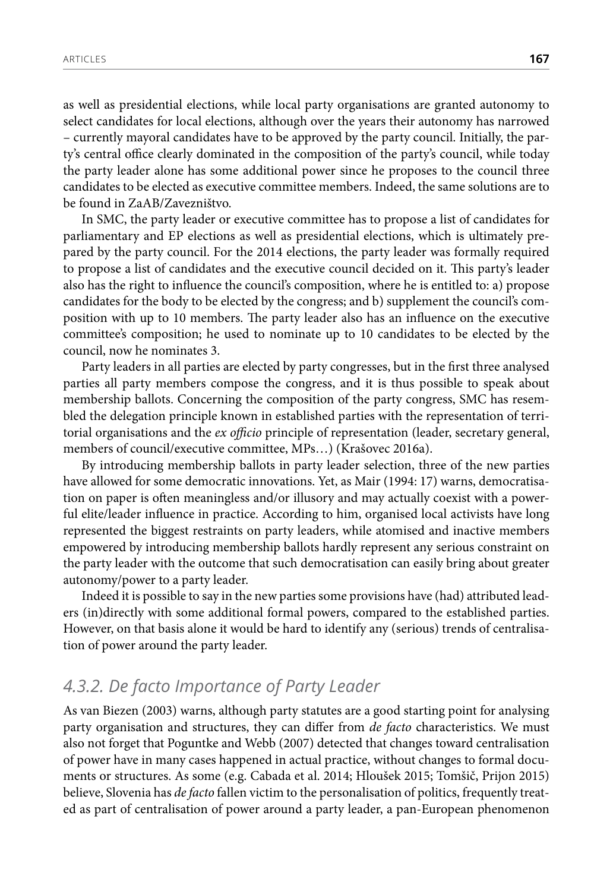as well as presidential elections, while local party organisations are granted autonomy to select candidates for local elections, although over the years their autonomy has narrowed – currently mayoral candidates have to be approved by the party council. Initially, the party's central office clearly dominated in the composition of the party's council, while today the party leader alone has some additional power since he proposes to the council three candidates to be elected as executive committee members. Indeed, the same solutions are to be found in ZaAB/Zavezništvo.

In SMC, the party leader or executive committee has to propose a list of candidates for parliamentary and EP elections as well as presidential elections, which is ultimately prepared by the party council. For the 2014 elections, the party leader was formally required to propose a list of candidates and the executive council decided on it. This party's leader also has the right to influence the council's composition, where he is entitled to: a) propose candidates for the body to be elected by the congress; and b) supplement the council's composition with up to 10 members. The party leader also has an influence on the executive committee's composition; he used to nominate up to 10 candidates to be elected by the council, now he nominates 3.

Party leaders in all parties are elected by party congresses, but in the first three analysed parties all party members compose the congress, and it is thus possible to speak about membership ballots. Concerning the composition of the party congress, SMC has resembled the delegation principle known in established parties with the representation of territorial organisations and the *ex officio* principle of representation (leader, secretary general, members of council/executive committee, MPs…) (Krašovec 2016a).

By introducing membership ballots in party leader selection, three of the new parties have allowed for some democratic innovations. Yet, as Mair (1994: 17) warns, democratisation on paper is often meaningless and/or illusory and may actually coexist with a powerful elite/leader influence in practice. According to him, organised local activists have long represented the biggest restraints on party leaders, while atomised and inactive members empowered by introducing membership ballots hardly represent any serious constraint on the party leader with the outcome that such democratisation can easily bring about greater autonomy/power to a party leader.

Indeed it is possible to say in the new parties some provisions have (had) attributed leaders (in)directly with some additional formal powers, compared to the established parties. However, on that basis alone it would be hard to identify any (serious) trends of centralisation of power around the party leader.

#### *4.3.2. De facto Importance of Party Leader*

As van Biezen (2003) warns, although party statutes are a good starting point for analysing party organisation and structures, they can differ from *de facto* characteristics. We must also not forget that Poguntke and Webb (2007) detected that changes toward centralisation of power have in many cases happened in actual practice, without changes to formal documents or structures. As some (e.g. Cabada et al. 2014; Hloušek 2015; Tomšič, Prijon 2015) believe, Slovenia has *de facto* fallen victim to the personalisation of politics, frequently treated as part of centralisation of power around a party leader, a pan-European phenomenon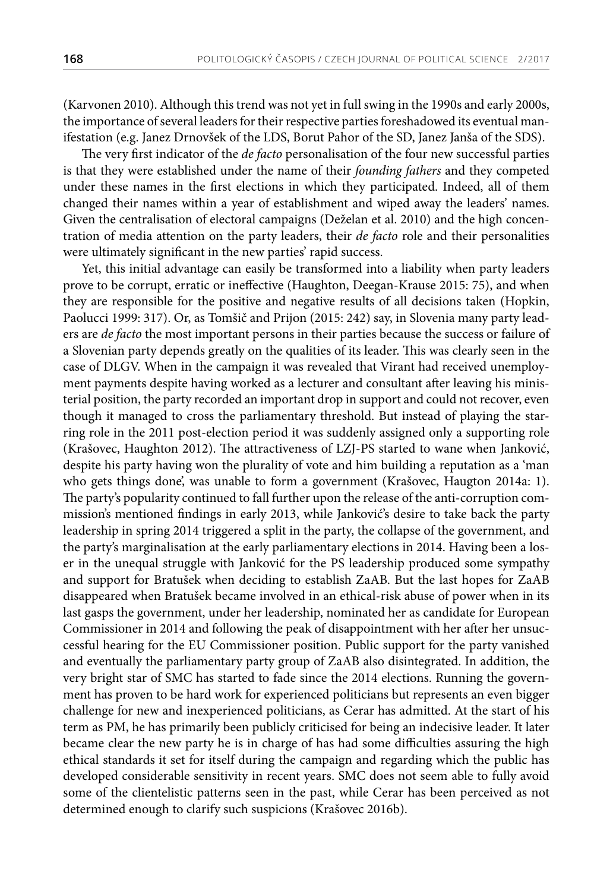(Karvonen 2010). Although this trend was not yet in full swing in the 1990s and early 2000s, the importance of several leaders for their respective parties foreshadowed its eventual manifestation (e.g. Janez Drnovšek of the LDS, Borut Pahor of the SD, Janez Janša of the SDS).

The very first indicator of the *de facto* personalisation of the four new successful parties is that they were established under the name of their *founding fathers* and they competed under these names in the first elections in which they participated. Indeed, all of them changed their names within a year of establishment and wiped away the leaders' names. Given the centralisation of electoral campaigns (Deželan et al. 2010) and the high concentration of media attention on the party leaders, their *de facto* role and their personalities were ultimately significant in the new parties' rapid success.

Yet, this initial advantage can easily be transformed into a liability when party leaders prove to be corrupt, erratic or ineffective (Haughton, Deegan-Krause 2015: 75), and when they are responsible for the positive and negative results of all decisions taken (Hopkin, Paolucci 1999: 317). Or, as Tomšič and Prijon (2015: 242) say, in Slovenia many party leaders are *de facto* the most important persons in their parties because the success or failure of a Slovenian party depends greatly on the qualities of its leader. This was clearly seen in the case of DLGV. When in the campaign it was revealed that Virant had received unemployment payments despite having worked as a lecturer and consultant after leaving his ministerial position, the party recorded an important drop in support and could not recover, even though it managed to cross the parliamentary threshold. But instead of playing the starring role in the 2011 post-election period it was suddenly assigned only a supporting role (Krašovec, Haughton 2012). The attractiveness of LZJ-PS started to wane when Janković, despite his party having won the plurality of vote and him building a reputation as a 'man who gets things done', was unable to form a government (Krašovec, Haugton 2014a: 1). The party's popularity continued to fall further upon the release of the anti-corruption commission's mentioned findings in early 2013, while Janković's desire to take back the party leadership in spring 2014 triggered a split in the party, the collapse of the government, and the party's marginalisation at the early parliamentary elections in 2014. Having been a loser in the unequal struggle with Janković for the PS leadership produced some sympathy and support for Bratušek when deciding to establish ZaAB. But the last hopes for ZaAB disappeared when Bratušek became involved in an ethical-risk abuse of power when in its last gasps the government, under her leadership, nominated her as candidate for European Commissioner in 2014 and following the peak of disappointment with her after her unsuccessful hearing for the EU Commissioner position. Public support for the party vanished and eventually the parliamentary party group of ZaAB also disintegrated. In addition, the very bright star of SMC has started to fade since the 2014 elections. Running the government has proven to be hard work for experienced politicians but represents an even bigger challenge for new and inexperienced politicians, as Cerar has admitted. At the start of his term as PM, he has primarily been publicly criticised for being an indecisive leader. It later became clear the new party he is in charge of has had some difficulties assuring the high ethical standards it set for itself during the campaign and regarding which the public has developed considerable sensitivity in recent years. SMC does not seem able to fully avoid some of the clientelistic patterns seen in the past, while Cerar has been perceived as not determined enough to clarify such suspicions (Krašovec 2016b).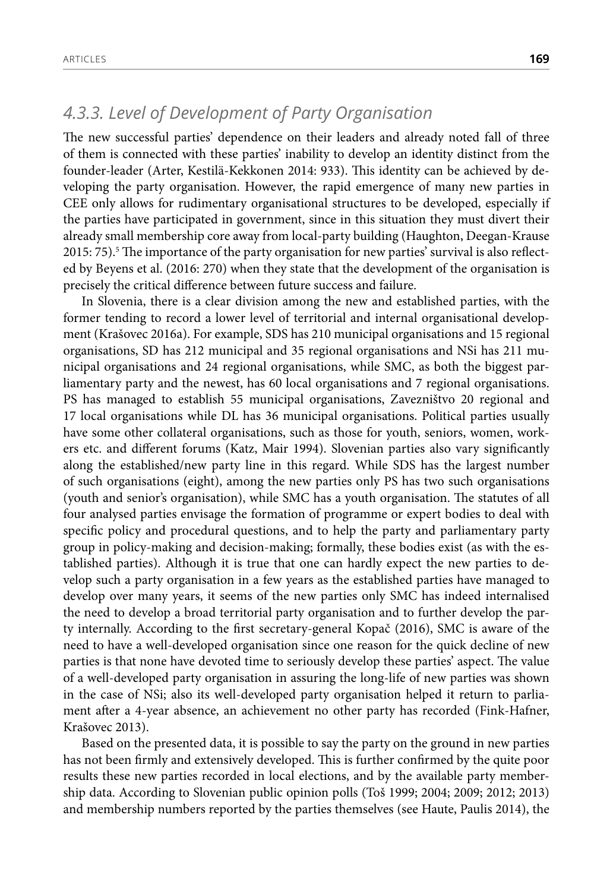# *4.3.3. Level of Development of Party Organisation*

The new successful parties' dependence on their leaders and already noted fall of three of them is connected with these parties' inability to develop an identity distinct from the founder-leader (Arter, Kestilä-Kekkonen 2014: 933). This identity can be achieved by developing the party organisation. However, the rapid emergence of many new parties in CEE only allows for rudimentary organisational structures to be developed, especially if the parties have participated in government, since in this situation they must divert their already small membership core away from local-party building (Haughton, Deegan-Krause 2015: 75). $^5$  The importance of the party organisation for new parties' survival is also reflected by Beyens et al. (2016: 270) when they state that the development of the organisation is precisely the critical difference between future success and failure.

In Slovenia, there is a clear division among the new and established parties, with the former tending to record a lower level of territorial and internal organisational development (Krašovec 2016a). For example, SDS has 210 municipal organisations and 15 regional organisations, SD has 212 municipal and 35 regional organisations and NSi has 211 municipal organisations and 24 regional organisations, while SMC, as both the biggest parliamentary party and the newest, has 60 local organisations and 7 regional organisations. PS has managed to establish 55 municipal organisations, Zavezništvo 20 regional and 17 local organisations while DL has 36 municipal organisations. Political parties usually have some other collateral organisations, such as those for youth, seniors, women, workers etc. and different forums (Katz, Mair 1994). Slovenian parties also vary significantly along the established/new party line in this regard. While SDS has the largest number of such organisations (eight), among the new parties only PS has two such organisations (youth and senior's organisation), while SMC has a youth organisation. The statutes of all four analysed parties envisage the formation of programme or expert bodies to deal with specific policy and procedural questions, and to help the party and parliamentary party group in policy-making and decision-making; formally, these bodies exist (as with the established parties). Although it is true that one can hardly expect the new parties to develop such a party organisation in a few years as the established parties have managed to develop over many years, it seems of the new parties only SMC has indeed internalised the need to develop a broad territorial party organisation and to further develop the party internally. According to the first secretary-general Kopač (2016), SMC is aware of the need to have a well-developed organisation since one reason for the quick decline of new parties is that none have devoted time to seriously develop these parties' aspect. The value of a well-developed party organisation in assuring the long-life of new parties was shown in the case of NSi; also its well-developed party organisation helped it return to parliament after a 4-year absence, an achievement no other party has recorded (Fink-Hafner, Krašovec 2013).

Based on the presented data, it is possible to say the party on the ground in new parties has not been firmly and extensively developed. This is further confirmed by the quite poor results these new parties recorded in local elections, and by the available party membership data. According to Slovenian public opinion polls (Toš 1999; 2004; 2009; 2012; 2013) and membership numbers reported by the parties themselves (see Haute, Paulis 2014), the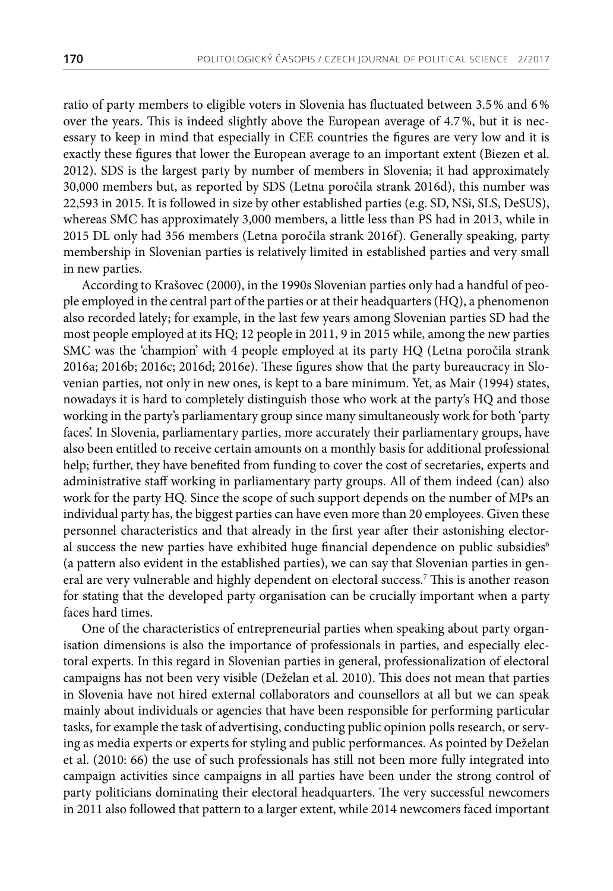ratio of party members to eligible voters in Slovenia has fluctuated between 3.5% and 6% over the years. This is indeed slightly above the European average of 4.7%, but it is necessary to keep in mind that especially in CEE countries the figures are very low and it is exactly these figures that lower the European average to an important extent (Biezen et al. 2012). SDS is the largest party by number of members in Slovenia; it had approximately 30,000 members but, as reported by SDS (Letna poročila strank 2016d), this number was 22,593 in 2015. It is followed in size by other established parties (e.g. SD, NSi, SLS, DeSUS), whereas SMC has approximately 3,000 members, a little less than PS had in 2013, while in 2015 DL only had 356 members (Letna poročila strank 2016f). Generally speaking, party membership in Slovenian parties is relatively limited in established parties and very small in new parties.

According to Krašovec (2000), in the 1990s Slovenian parties only had a handful of people employed in the central part of the parties or at their headquarters (HQ), a phenomenon also recorded lately; for example, in the last few years among Slovenian parties SD had the most people employed at its HQ; 12 people in 2011, 9 in 2015 while, among the new parties SMC was the 'champion' with 4 people employed at its party HQ (Letna poročila strank 2016a; 2016b; 2016c; 2016d; 2016e). These figures show that the party bureaucracy in Slovenian parties, not only in new ones, is kept to a bare minimum. Yet, as Mair (1994) states, nowadays it is hard to completely distinguish those who work at the party's HQ and those working in the party's parliamentary group since many simultaneously work for both 'party faces'. In Slovenia, parliamentary parties, more accurately their parliamentary groups, have also been entitled to receive certain amounts on a monthly basis for additional professional help; further, they have benefited from funding to cover the cost of secretaries, experts and administrative staff working in parliamentary party groups. All of them indeed (can) also work for the party HQ. Since the scope of such support depends on the number of MPs an individual party has, the biggest parties can have even more than 20 employees. Given these personnel characteristics and that already in the first year after their astonishing electoral success the new parties have exhibited huge financial dependence on public subsidies<sup>6</sup> (a pattern also evident in the established parties), we can say that Slovenian parties in general are very vulnerable and highly dependent on electoral success.7 This is another reason for stating that the developed party organisation can be crucially important when a party faces hard times.

One of the characteristics of entrepreneurial parties when speaking about party organisation dimensions is also the importance of professionals in parties, and especially electoral experts. In this regard in Slovenian parties in general, professionalization of electoral campaigns has not been very visible (Deželan et al. 2010). This does not mean that parties in Slovenia have not hired external collaborators and counsellors at all but we can speak mainly about individuals or agencies that have been responsible for performing particular tasks, for example the task of advertising, conducting public opinion polls research, or serving as media experts or experts for styling and public performances. As pointed by Deželan et al. (2010: 66) the use of such professionals has still not been more fully integrated into campaign activities since campaigns in all parties have been under the strong control of party politicians dominating their electoral headquarters. The very successful newcomers in 2011 also followed that pattern to a larger extent, while 2014 newcomers faced important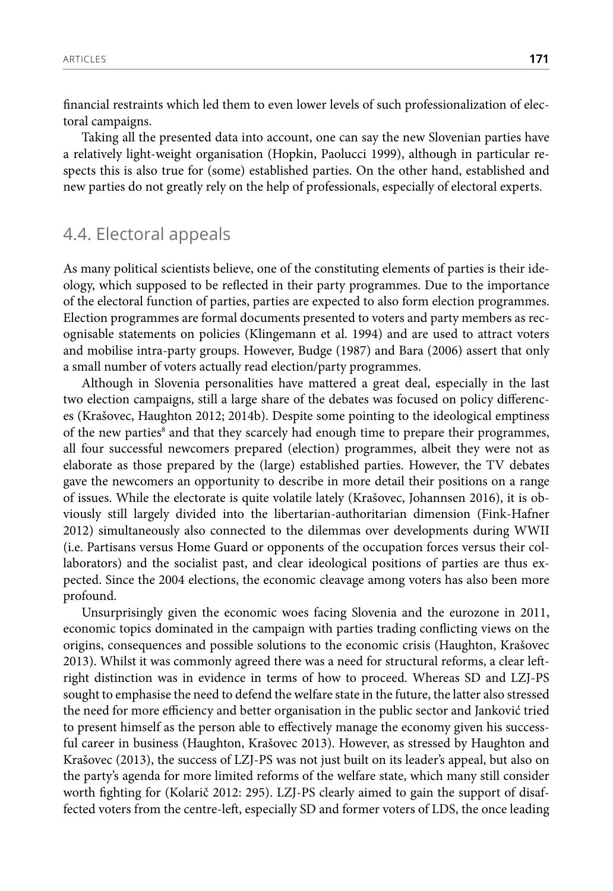financial restraints which led them to even lower levels of such professionalization of electoral campaigns.

Taking all the presented data into account, one can say the new Slovenian parties have a relatively light-weight organisation (Hopkin, Paolucci 1999), although in particular respects this is also true for (some) established parties. On the other hand, established and new parties do not greatly rely on the help of professionals, especially of electoral experts.

### 4.4. Electoral appeals

As many political scientists believe, one of the constituting elements of parties is their ideology, which supposed to be reflected in their party programmes. Due to the importance of the electoral function of parties, parties are expected to also form election programmes. Election programmes are formal documents presented to voters and party members as recognisable statements on policies (Klingemann et al. 1994) and are used to attract voters and mobilise intra-party groups. However, Budge (1987) and Bara (2006) assert that only a small number of voters actually read election/party programmes.

Although in Slovenia personalities have mattered a great deal, especially in the last two election campaigns, still a large share of the debates was focused on policy differences (Krašovec, Haughton 2012; 2014b). Despite some pointing to the ideological emptiness of the new parties<sup>8</sup> and that they scarcely had enough time to prepare their programmes, all four successful newcomers prepared (election) programmes, albeit they were not as elaborate as those prepared by the (large) established parties. However, the TV debates gave the newcomers an opportunity to describe in more detail their positions on a range of issues. While the electorate is quite volatile lately (Krašovec, Johannsen 2016), it is obviously still largely divided into the libertarian-authoritarian dimension (Fink-Hafner 2012) simultaneously also connected to the dilemmas over developments during WWII (i.e. Partisans versus Home Guard or opponents of the occupation forces versus their collaborators) and the socialist past, and clear ideological positions of parties are thus expected. Since the 2004 elections, the economic cleavage among voters has also been more profound.

Unsurprisingly given the economic woes facing Slovenia and the eurozone in 2011, economic topics dominated in the campaign with parties trading conflicting views on the origins, consequences and possible solutions to the economic crisis (Haughton, Krašovec 2013). Whilst it was commonly agreed there was a need for structural reforms, a clear leftright distinction was in evidence in terms of how to proceed. Whereas SD and LZJ-PS sought to emphasise the need to defend the welfare state in the future, the latter also stressed the need for more efficiency and better organisation in the public sector and Janković tried to present himself as the person able to effectively manage the economy given his successful career in business (Haughton, Krašovec 2013). However, as stressed by Haughton and Krašovec (2013), the success of LZJ-PS was not just built on its leader's appeal, but also on the party's agenda for more limited reforms of the welfare state, which many still consider worth fighting for (Kolarič 2012: 295). LZJ-PS clearly aimed to gain the support of disaffected voters from the centre-left, especially SD and former voters of LDS, the once leading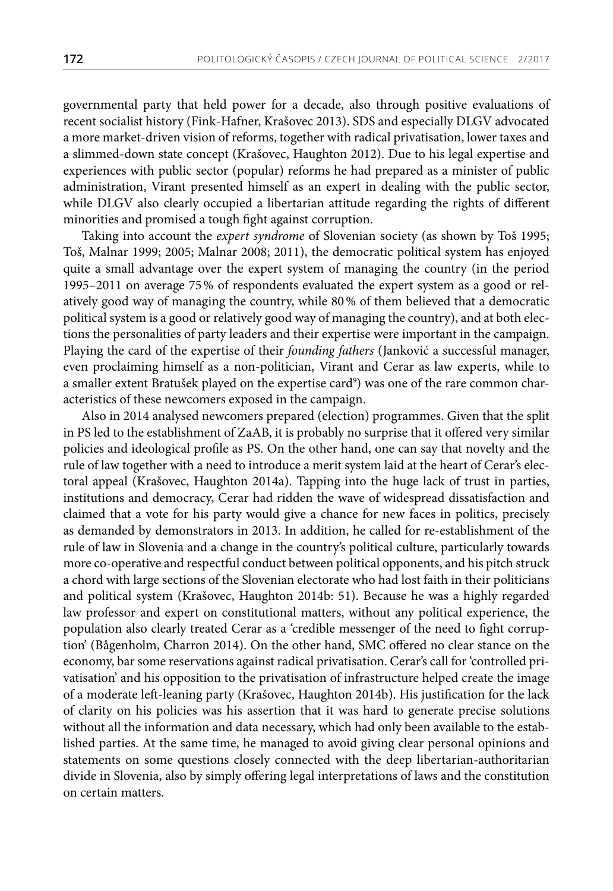governmental party that held power for a decade, also through positive evaluations of recent socialist history (Fink-Hafner, Krašovec 2013). SDS and especially DLGV advocated a more market-driven vision of reforms, together with radical privatisation, lower taxes and a slimmed-down state concept (Krašovec, Haughton 2012). Due to his legal expertise and experiences with public sector (popular) reforms he had prepared as a minister of public administration, Virant presented himself as an expert in dealing with the public sector, while DLGV also clearly occupied a libertarian attitude regarding the rights of different minorities and promised a tough fight against corruption.

Taking into account the *expert syndrome* of Slovenian society (as shown by Toš 1995; Toš, Malnar 1999; 2005; Malnar 2008; 2011), the democratic political system has enjoyed quite a small advantage over the expert system of managing the country (in the period 1995–2011 on average 75% of respondents evaluated the expert system as a good or relatively good way of managing the country, while 80% of them believed that a democratic political system is a good or relatively good way of managing the country), and at both elections the personalities of party leaders and their expertise were important in the campaign. Playing the card of the expertise of their *founding fathers* (Janković a successful manager, even proclaiming himself as a non-politician, Virant and Cerar as law experts, while to a smaller extent Bratušek played on the expertise card<sup>9</sup>) was one of the rare common characteristics of these newcomers exposed in the campaign.

Also in 2014 analysed newcomers prepared (election) programmes. Given that the split in PS led to the establishment of ZaAB, it is probably no surprise that it offered very similar policies and ideological profile as PS. On the other hand, one can say that novelty and the rule of law together with a need to introduce a merit system laid at the heart of Cerar's electoral appeal (Krašovec, Haughton 2014a). Tapping into the huge lack of trust in parties, institutions and democracy, Cerar had ridden the wave of widespread dissatisfaction and claimed that a vote for his party would give a chance for new faces in politics, precisely as demanded by demonstrators in 2013. In addition, he called for re-establishment of the rule of law in Slovenia and a change in the country's political culture, particularly towards more co-operative and respectful conduct between political opponents, and his pitch struck a chord with large sections of the Slovenian electorate who had lost faith in their politicians and political system (Krašovec, Haughton 2014b: 51). Because he was a highly regarded law professor and expert on constitutional matters, without any political experience, the population also clearly treated Cerar as a 'credible messenger of the need to fight corruption' (Bågenholm, Charron 2014). On the other hand, SMC offered no clear stance on the economy, bar some reservations against radical privatisation. Cerar's call for 'controlled privatisation' and his opposition to the privatisation of infrastructure helped create the image of a moderate left-leaning party (Krašovec, Haughton 2014b). His justification for the lack of clarity on his policies was his assertion that it was hard to generate precise solutions without all the information and data necessary, which had only been available to the established parties. At the same time, he managed to avoid giving clear personal opinions and statements on some questions closely connected with the deep libertarian-authoritarian divide in Slovenia, also by simply offering legal interpretations of laws and the constitution on certain matters.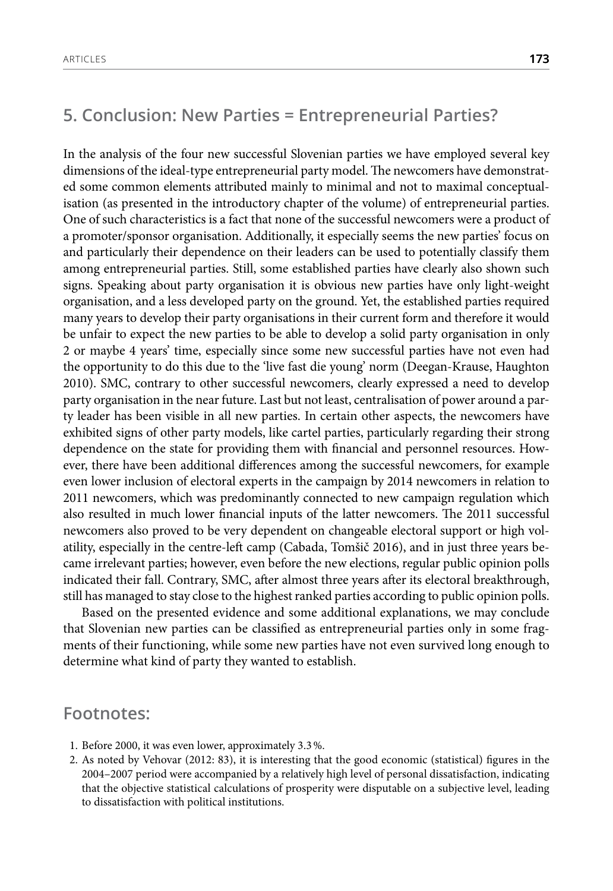# **5. Conclusion: New Parties = Entrepreneurial Parties?**

In the analysis of the four new successful Slovenian parties we have employed several key dimensions of the ideal-type entrepreneurial party model. The newcomers have demonstrated some common elements attributed mainly to minimal and not to maximal conceptualisation (as presented in the introductory chapter of the volume) of entrepreneurial parties. One of such characteristics is a fact that none of the successful newcomers were a product of a promoter/sponsor organisation. Additionally, it especially seems the new parties' focus on and particularly their dependence on their leaders can be used to potentially classify them among entrepreneurial parties. Still, some established parties have clearly also shown such signs. Speaking about party organisation it is obvious new parties have only light-weight organisation, and a less developed party on the ground. Yet, the established parties required many years to develop their party organisations in their current form and therefore it would be unfair to expect the new parties to be able to develop a solid party organisation in only 2 or maybe 4 years' time, especially since some new successful parties have not even had the opportunity to do this due to the 'live fast die young' norm (Deegan-Krause, Haughton 2010). SMC, contrary to other successful newcomers, clearly expressed a need to develop party organisation in the near future. Last but not least, centralisation of power around a party leader has been visible in all new parties. In certain other aspects, the newcomers have exhibited signs of other party models, like cartel parties, particularly regarding their strong dependence on the state for providing them with financial and personnel resources. However, there have been additional differences among the successful newcomers, for example even lower inclusion of electoral experts in the campaign by 2014 newcomers in relation to 2011 newcomers, which was predominantly connected to new campaign regulation which also resulted in much lower financial inputs of the latter newcomers. The 2011 successful newcomers also proved to be very dependent on changeable electoral support or high volatility, especially in the centre-left camp (Cabada, Tomšič 2016), and in just three years became irrelevant parties; however, even before the new elections, regular public opinion polls indicated their fall. Contrary, SMC, after almost three years after its electoral breakthrough, still has managed to stay close to the highest ranked parties according to public opinion polls.

Based on the presented evidence and some additional explanations, we may conclude that Slovenian new parties can be classified as entrepreneurial parties only in some fragments of their functioning, while some new parties have not even survived long enough to determine what kind of party they wanted to establish.

#### **Footnotes:**

- 1. Before 2000, it was even lower, approximately 3.3%.
- 2. As noted by Vehovar (2012: 83), it is interesting that the good economic (statistical) figures in the 2004–2007 period were accompanied by a relatively high level of personal dissatisfaction, indicating that the objective statistical calculations of prosperity were disputable on a subjective level, leading to dissatisfaction with political institutions.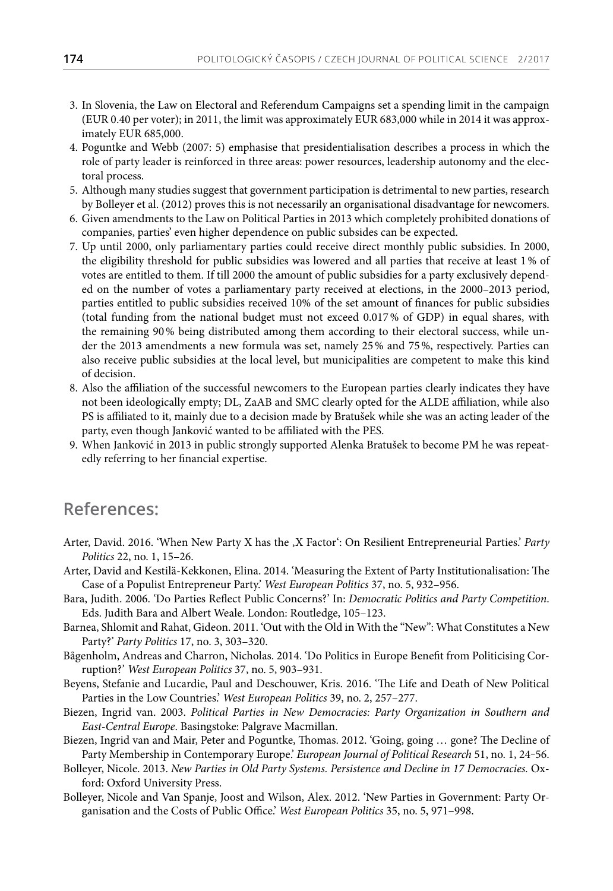- 3. In Slovenia, the Law on Electoral and Referendum Campaigns set a spending limit in the campaign (EUR 0.40 per voter); in 2011, the limit was approximately EUR 683,000 while in 2014 it was approximately EUR 685,000.
- 4. Poguntke and Webb (2007: 5) emphasise that presidentialisation describes a process in which the role of party leader is reinforced in three areas: power resources, leadership autonomy and the electoral process.
- 5. Although many studies suggest that government participation is detrimental to new parties, research by Bolleyer et al. (2012) proves this is not necessarily an organisational disadvantage for newcomers.
- 6. Given amendments to the Law on Political Parties in 2013 which completely prohibited donations of companies, parties' even higher dependence on public subsides can be expected.
- 7. Up until 2000, only parliamentary parties could receive direct monthly public subsidies. In 2000, the eligibility threshold for public subsidies was lowered and all parties that receive at least 1% of votes are entitled to them. If till 2000 the amount of public subsidies for a party exclusively depended on the number of votes a parliamentary party received at elections, in the 2000–2013 period, parties entitled to public subsidies received 10% of the set amount of finances for public subsidies (total funding from the national budget must not exceed 0.017% of GDP) in equal shares, with the remaining 90% being distributed among them according to their electoral success, while under the 2013 amendments a new formula was set, namely 25% and 75%, respectively. Parties can also receive public subsidies at the local level, but municipalities are competent to make this kind of decision.
- 8. Also the affiliation of the successful newcomers to the European parties clearly indicates they have not been ideologically empty; DL, ZaAB and SMC clearly opted for the ALDE affiliation, while also PS is affiliated to it, mainly due to a decision made by Bratušek while she was an acting leader of the party, even though Janković wanted to be affiliated with the PES.
- 9. When Janković in 2013 in public strongly supported Alenka Bratušek to become PM he was repeatedly referring to her financial expertise.

# **References:**

- Arter, David. 2016. 'When New Party X has the 'X Factor': On Resilient Entrepreneurial Parties.' *Party Politics* 22, no. 1, 15–26.
- Arter, David and Kestilä-Kekkonen, Elina. 2014. 'Measuring the Extent of Party Institutionalisation: The Case of a Populist Entrepreneur Party.' *West European Politics* 37, no. 5, 932–956.
- Bara, Judith. 2006. 'Do Parties Reflect Public Concerns?' In: *Democratic Politics and Party Competition*. Eds. Judith Bara and Albert Weale. London: Routledge, 105–123.
- Barnea, Shlomit and Rahat, Gideon. 2011. 'Out with the Old in With the "New": What Constitutes a New Party?' *Party Politics* 17, no. 3, 303–320.
- Bågenholm, Andreas and Charron, Nicholas. 2014. 'Do Politics in Europe Benefit from Politicising Corruption?' *West European Politics* 37, no. 5, 903–931.
- Beyens, Stefanie and Lucardie, Paul and Deschouwer, Kris. 2016. 'The Life and Death of New Political Parties in the Low Countries.' *West European Politics* 39, no. 2, 257–277.
- Biezen, Ingrid van. 2003. *Political Parties in New Democracies: Party Organization in Southern and East-Central Europe*. Basingstoke: Palgrave Macmillan.
- Biezen, Ingrid van and Mair, Peter and Poguntke, Thomas. 2012. 'Going, going … gone? The Decline of Party Membership in Contemporary Europe.' *European Journal of Political Research* 51, no. 1, 24-56.
- Bolleyer, Nicole. 2013. *New Parties in Old Party Systems. Persistence and Decline in 17 Democracies.* Oxford: Oxford University Press.
- Bolleyer, Nicole and Van Spanje, Joost and Wilson, Alex. 2012. 'New Parties in Government: Party Organisation and the Costs of Public Office.' *West European Politics* 35, no. 5, 971–998.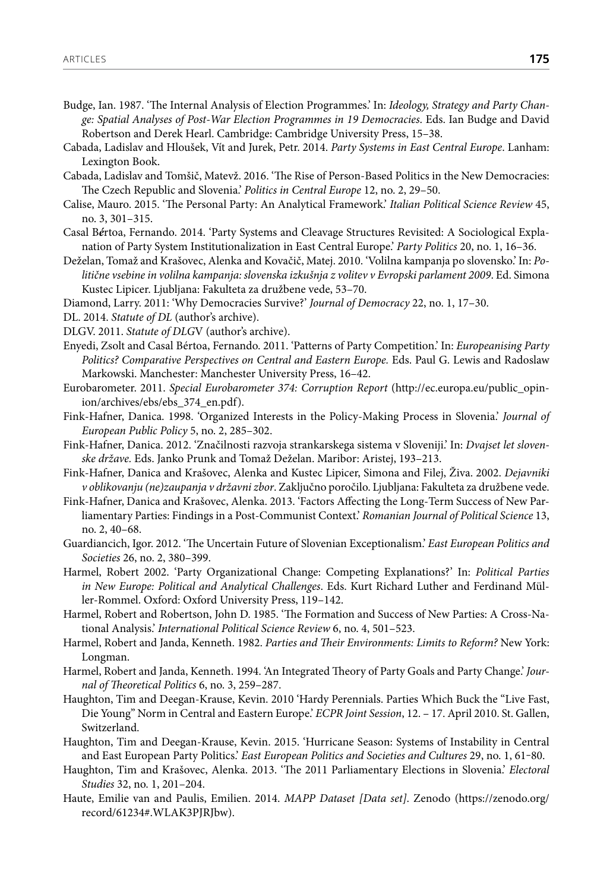- Budge, Ian. 1987. 'The Internal Analysis of Election Programmes.' In: *Ideology, Strategy and Party Change: Spatial Analyses of Post-War Election Programmes in 19 Democracies*. Eds. Ian Budge and David Robertson and Derek Hearl. Cambridge: Cambridge University Press, 15–38.
- Cabada, Ladislav and Hloušek, Vít and Jurek, Petr. 2014. *Party Systems in East Central Europe*. Lanham: Lexington Book.
- Cabada, Ladislav and Tomšič, Matevž. 2016. 'The Rise of Person-Based Politics in the New Democracies: The Czech Republic and Slovenia.' *Politics in Central Europe* 12, no. 2, 29–50.
- Calise, Mauro. 2015. 'The Personal Party: An Analytical Framework.' *Italian Political Science Review* 45, no. 3, 301–315.
- Casal B*é*rtoa, Fernando. 2014. ['Party Systems and Cleavage Structures Revisited: A Sociological Expla](http://ppq.sagepub.com/content/20/1/16)[nation of Party System Institutionalization in East Central Europe](http://ppq.sagepub.com/content/20/1/16).' *Party Politics* 20, no. 1, 16–36.
- Deželan, Tomaž and Krašovec, Alenka and Kovačič, Matej. 2010. 'Volilna kampanja po slovensko.' In: *Politične vsebine in volilna kampanja: slovenska izkušnja z volitev v Evropski parlament 2009*. Ed. Simona Kustec Lipicer. Ljubljana: Fakulteta za družbene vede, 53–70.
- Diamond, Larry. 2011: 'Why Democracies Survive?' *Journal of Democracy* 22, no. 1, 17–30.
- DL. 2014. *Statute of DL* (author's archive).
- DLGV. 2011. *Statute of DLG*V (author's archive).
- Enyedi, Zsolt and Casal Bértoa, Fernando. 2011. 'Patterns of Party Competition.' In: *Europeanising Party*  Politics? Comparative Perspectives on Central and Eastern Europe. Eds. Paul G. Lewis and Radoslaw Markowski. Manchester: Manchester University Press, 16–42.
- Eurobarometer. 2011. *Special Eurobarometer 374: Corruption Report* ([http://ec.europa.eu/public\\_opin](http://ec.europa.eu/public_opinion/archives/ebs/ebs_374_en.pdf)[ion/archives/ebs/ebs\\_374\\_en.pdf](http://ec.europa.eu/public_opinion/archives/ebs/ebs_374_en.pdf)).
- Fink-Hafner, Danica. 1998. 'Organized Interests in the Policy-Making Process in Slovenia.' *Journal of European Public Policy* 5, no. 2, 285–302.
- Fink-Hafner, Danica. 2012. 'Značilnosti razvoja strankarskega sistema v Sloveniji.' In: *Dvajset let slovenske države.* Eds. Janko Prunk and Tomaž Deželan. Maribor: Aristej, 193–213.
- Fink-Hafner, Danica and Krašovec, Alenka and Kustec Lipicer, Simona and Filej, Živa. 2002. *Dejavniki v oblikovanju (ne)zaupanja v državni zbor*. Zaključno poročilo. Ljubljana: Fakulteta za družbene vede.
- Fink-Hafner, Danica and Krašovec, Alenka. 2013. 'Factors Affecting the Long-Term Success of New Parliamentary Parties: Findings in a Post-Communist Context.' *Romanian Journal of Political Science* 13, no. 2, 40–68.
- Guardiancich, Igor. 2012. 'The Uncertain Future of Slovenian Exceptionalism.' *East European Politics and Societies* 26, no. 2, 380–399.
- Harmel, Robert 2002. 'Party Organizational Change: Competing Explanations?' In: *Political Parties in New Europe: Political and Analytical Challenges*. Eds. Kurt Richard Luther and Ferdinand Müller-Rommel. Oxford: Oxford University Press, 119–142.
- Harmel, Robert and Robertson, John D. 1985. 'The Formation and Success of New Parties: A Cross-National Analysis.' *International Political Science Review* 6, no. 4, 501–523.
- Harmel, Robert and Janda, Kenneth. 1982. *Parties and Their Environments: Limits to Reform?* New York: Longman.
- Harmel, Robert and Janda, Kenneth. 1994. 'An Integrated Theory of Party Goals and Party Change.' *Journal of Theoretical Politics* 6, no. 3, 259–287.
- Haughton, Tim and Deegan-Krause, Kevin. 2010 'Hardy Perennials. Parties Which Buck the "Live Fast, Die Young" Norm in Central and Eastern Europe.' *ECPR Joint Session*, 12. – 17. April 2010. St. Gallen, Switzerland.
- Haughton, Tim and Deegan-Krause, Kevin. 2015. 'Hurricane Season: Systems of Instability in Central and East European Party Politics.' *East European Politics and Societies and Cultures* 29, no. 1, 61-80.
- Haughton, Tim and Krašovec, Alenka. 2013. 'The 2011 Parliamentary Elections in Slovenia.' *Electoral Studies* 32, no. 1, 201–204.
- Haute, Emilie van and Paulis, Emilien. 2014. *MAPP Dataset [Data set]*. Zenodo (https://zenodo.org/ record/61234#.WLAK3PJRJbw).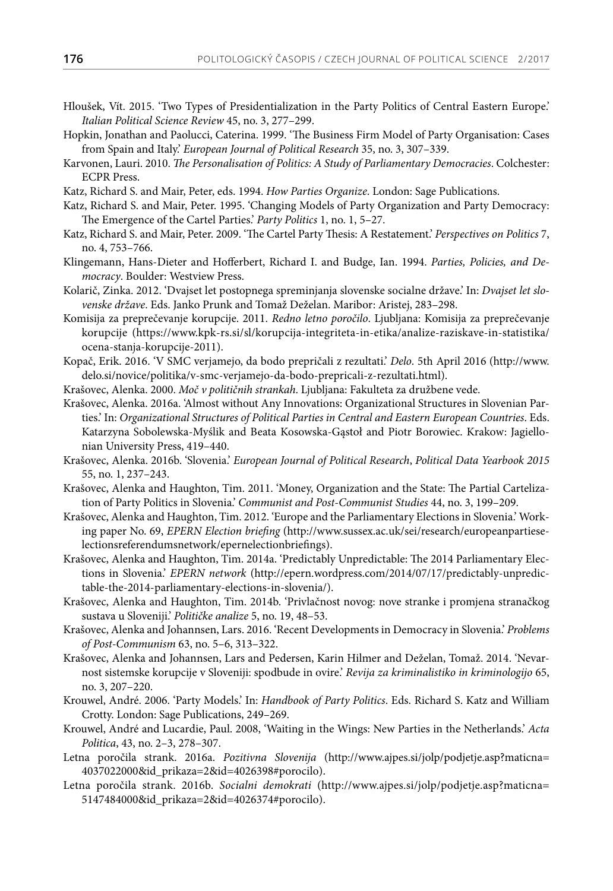- Hloušek, Vít. 2015. 'Two Types of Presidentialization in the Party Politics of Central Eastern Europe.' *Italian Political Science Review* 45, no. 3, 277–299.
- Hopkin, Jonathan and Paolucci, Caterina. 1999. 'The Business Firm Model of Party Organisation: Cases from Spain and Italy.' *European Journal of Political Research* 35, no. 3, 307–339.
- Karvonen, Lauri. 2010. *The Personalisation of Politics: A Study of Parliamentary Democracies*. Colchester: ECPR Press.
- Katz, Richard S. and Mair, Peter, eds. 1994. *How Parties Organize*. London: Sage Publications.
- Katz, Richard S. and Mair, Peter. 1995. 'Changing Models of Party Organization and Party Democracy: The Emergence of the Cartel Parties.' *Party Politics* 1, no. 1, 5–27.
- Katz, Richard S. and Mair, Peter. 2009. 'The Cartel Party Thesis: A Restatement.' *Perspectives on Politics* [7](https://www.cambridge.org/core/journals/perspectives-on-politics/volume/journal-pps-volume-7/D8075FD04FC0E2BE605E6AB9CF5C0902), no. 4, 753–766.
- Klingemann, Hans-Dieter and Hofferbert, Richard I. and Budge, Ian. 1994. *Parties, Policies, and Democracy*. Boulder: Westview Press.
- Kolarič, Zinka. 2012. 'Dvajset let postopnega spreminjanja slovenske socialne države.' In: *Dvajset let slovenske države*. Eds. Janko Prunk and Tomaž Deželan. Maribor: Aristej, 283–298.
- Komisija za preprečevanje korupcije. 2011. *Redno letno poročilo*. Ljubljana: Komisija za preprečevanje korupcije ([https://www.kpk-rs.si/sl/korupcija-integriteta-in-etika/analize-raziskave-in-statistika/](https://www.kpk-rs.si/sl/korupcija-integriteta-in-etika/analize-raziskave-in-statistika/ocena-stanja-korupcije-2011) [ocena-stanja-korupcije-2011](https://www.kpk-rs.si/sl/korupcija-integriteta-in-etika/analize-raziskave-in-statistika/ocena-stanja-korupcije-2011)).
- Kopač, Erik. 2016. 'V SMC verjamejo, da bodo prepričali z rezultati.' *Delo*. 5th April 2016 ([http://www.](http://www.delo.si/novice/politika/v-smc-verjamejo-da-bodo-prepricali-z-rezultati.html) [delo.si/novice/politika/v-smc-verjamejo-da-bodo-prepricali-z-rezultati.html\)](http://www.delo.si/novice/politika/v-smc-verjamejo-da-bodo-prepricali-z-rezultati.html).
- Krašovec, Alenka. 2000. *Moč v političnih strankah*. Ljubljana: Fakulteta za družbene vede.
- Krašovec, Alenka. 2016a. 'Almost without Any Innovations: Organizational Structures in Slovenian Parties.' In: *Organizational Structures of Political Parties in Central and Eastern European Countries*. Eds. Katarzyna Sobolewska-Myślik and Beata Kosowska-Gąstoł and Piotr Borowiec. Krakow: Jagiellonian University Press, 419–440.
- Krašovec, Alenka. 2016b. 'Slovenia.' *European Journal of Political Research*, *Political Data Yearbook 2015* 55, no. 1, 237–243.
- Krašovec, Alenka and Haughton, Tim. 2011. 'Money, Organization and the State: The Partial Cartelization of Party Politics in Slovenia.' *Communist and Post-Communist Studies* 44, no. 3, 199–209.
- Krašovec, Alenka and Haughton, Tim. 2012. 'Europe and the Parliamentary Elections in Slovenia.' Working paper No. 69, *EPERN Election briefing* [\(http://www.sussex.ac.uk/sei/research/europeanpartiese](http://www.sussex.ac.uk/sei/research/europeanpartieselectionsreferendumsnetwork/epernelectionbriefings)[lectionsreferendumsnetwork/epernelectionbriefings\)](http://www.sussex.ac.uk/sei/research/europeanpartieselectionsreferendumsnetwork/epernelectionbriefings).
- Krašovec, Alenka and Haughton, Tim. 2014a. ['Predictably Unpredictable: The 2014 Parliamentary Elec](http://epern.wordpress.com/2014/07/17/predictably-unpredictable-the-2014-parliamentary-elections-in-slovenia/)[tions in Slovenia.](http://epern.wordpress.com/2014/07/17/predictably-unpredictable-the-2014-parliamentary-elections-in-slovenia/)' *EPERN network* [\(http://epern.wordpress.com/2014/07/17/predictably-unpredic](http://epern.wordpress.com/2014/07/17/predictably-unpredictable-the-2014-parliamentary-elections-in-slovenia/)[table-the-2014-parliamentary-elections-in-slovenia/\)](http://epern.wordpress.com/2014/07/17/predictably-unpredictable-the-2014-parliamentary-elections-in-slovenia/).
- Krašovec, Alenka and Haughton, Tim. 2014b. 'Privlačnost novog: nove stranke i promjena stranačkog sustava u Sloveniji.' *Političke analize* 5, no. 19, 48–53.
- Krašovec, Alenka and Johannsen, Lars. 2016. 'Recent Developments in Democracy in Slovenia.' *Problems of Post-Communism* 63, no. 5–6, 313–322.
- Krašovec, Alenka and Johannsen, Lars and Pedersen, Karin Hilmer and Deželan, Tomaž. 2014. 'Nevarnost sistemske korupcije v Sloveniji: spodbude in ovire.' *Revija za kriminalistiko in kriminologijo* 65, no. 3, 207–220.
- Krouwel, André. 2006. 'Party Models.' In: *Handbook of Party Politics*. Eds. Richard S. Katz and William Crotty. London: Sage Publications, 249–269.
- Krouwel, André and Lucardie, Paul. 2008, 'Waiting in the Wings: New Parties in the Netherlands.' *Acta Politica*, 43, no. 2–3, 278–307.
- Letna poročila strank. 2016a. *Pozitivna Slovenija* (http://www.ajpes.si/jolp/podjetje.asp?maticna= 4037022000&id\_prikaza=2&id=4026398#porocilo).
- Letna poročila strank. 2016b. *Socialni demokrati* (http://www.ajpes.si/jolp/podjetje.asp?maticna= 5147484000&id\_prikaza=2&id=4026374#porocilo).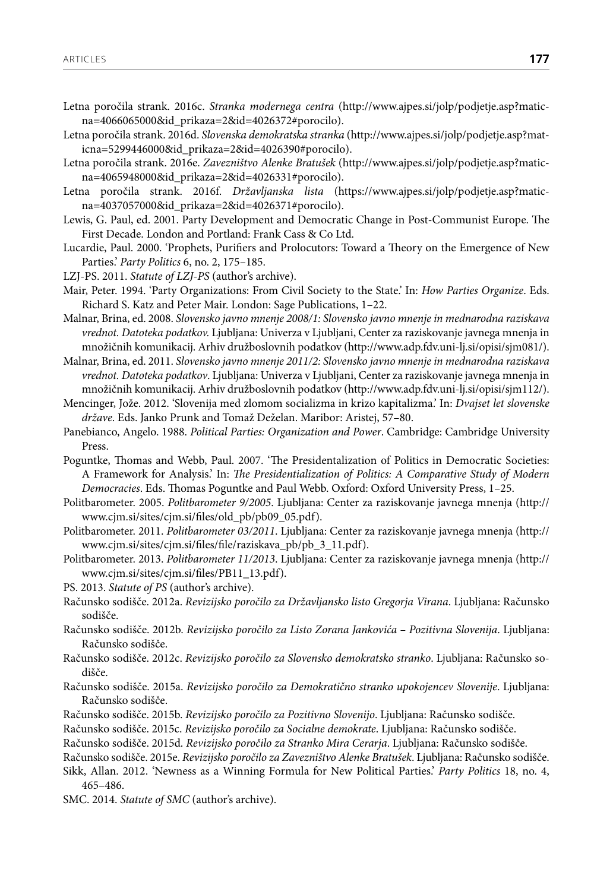- Letna poročila strank. 2016c. *Stranka modernega centra* (http://www.ajpes.si/jolp/podjetje.asp?maticna=4066065000&id\_prikaza=2&id=4026372#porocilo).
- Letna poročila strank. 2016d. *Slovenska demokratska stranka* (http://www.ajpes.si/jolp/podjetje.asp?maticna=5299446000&id\_prikaza=2&id=4026390#porocilo).
- Letna poročila strank. 2016e. *Zavezništvo Alenke Bratušek* (http://www.ajpes.si/jolp/podjetje.asp?maticna=4065948000&id\_prikaza=2&id=4026331#porocilo).
- Letna poročila strank. 2016f. *Državljanska lista* (https://www.ajpes.si/jolp/podjetje.asp?maticna=4037057000&id\_prikaza=2&id=4026371#porocilo).
- Lewis, G. Paul, ed. 2001. Party Development and Democratic Change in Post-Communist Europe. The First Decade. London and Portland: Frank Cass & Co Ltd.
- Lucardie, Paul. 2000. 'Prophets, Purifiers and Prolocutors: Toward a Theory on the Emergence of New Parties.' *Party Politics* 6, no. 2, 175–185.
- LZJ-PS. 2011. *Statute of LZJ-PS* (author's archive).
- Mair, Peter. 1994. 'Party Organizations: From Civil Society to the State.' In: *How Parties Organize*. Eds. Richard S. Katz and Peter Mair. London: Sage Publications, 1–22.
- Malnar, Brina, ed. 2008. *Slovensko javno mnenje 2008/1: Slovensko javno mnenje in mednarodna raziskava vrednot. Datoteka podatkov.* Ljubljana: Univerza v Ljubljani, Center za raziskovanje javnega mnenja in množičnih komunikacij. Arhiv družboslovnih podatkov (<http://www.adp.fdv.uni-lj.si/opisi/sjm081/>).
- Malnar, Brina, ed. 2011. *Slovensko javno mnenje 2011/2: Slovensko javno mnenje in mednarodna raziskava vrednot. Datoteka podatkov*. Ljubljana: Univerza v Ljubljani, Center za raziskovanje javnega mnenja in množičnih komunikacij. Arhiv družboslovnih podatkov (<http://www.adp.fdv.uni-lj.si/opisi/sjm112/>).
- Mencinger, Jože. 2012. 'Slovenija med zlomom socializma in krizo kapitalizma.' In: *Dvajset let slovenske države*. Eds. Janko Prunk and Tomaž Deželan. Maribor: Aristej, 57–80.
- Panebianco, Angelo. 1988. *Political Parties: Organization and Power*. Cambridge: Cambridge University Press.
- Poguntke, Thomas and Webb, Paul. 2007. 'The Presidentalization of Politics in Democratic Societies: A Framework for Analysis.' In: *The Presidentialization of Politics: A Comparative Study of Modern Democracies*. Eds. Thomas Poguntke and Paul Webb. Oxford: Oxford University Press, 1–25.
- Politbarometer. 2005. *Politbarometer 9/2005*. Ljubljana: Center za raziskovanje javnega mnenja (http:// www.cjm.si/sites/cjm.si/files/old\_pb/pb09\_05.pdf).
- Politbarometer. 2011. *Politbarometer 03/2011*. Ljubljana: Center za raziskovanje javnega mnenja (http:// www.cjm.si/sites/cjm.si/files/file/raziskava\_pb/pb\_3\_11.pdf).
- Politbarometer. 2013. *Politbarometer 11/2013*. Ljubljana: Center za raziskovanje javnega mnenja ([http://](http://www.cjm.si/sites/cjm.si/files/PB11_13.pdf) [www.cjm.si/sites/cjm.si/files/PB11\\_13.pdf\)](http://www.cjm.si/sites/cjm.si/files/PB11_13.pdf).
- PS. 2013. *Statute of PS* (author's archive).
- Računsko sodišče. 2012a. *Revizijsko poročilo za Državljansko listo Gregorja Virana*. Ljubljana: Računsko sodišče.
- Računsko sodišče. 2012b. *Revizijsko poročilo za Listo Zorana Jankovića Pozitivna Slovenija*. Ljubljana: Računsko sodišče.
- Računsko sodišče. 2012c. *Revizijsko poročilo za Slovensko demokratsko stranko*. Ljubljana: Računsko sodišče.
- Računsko sodišče. 2015a. *Revizijsko poročilo za Demokratično stranko upokojencev Slovenije*. Ljubljana: Računsko sodišče.
- Računsko sodišče. 2015b. *Revizijsko poročilo za Pozitivno Slovenijo*. Ljubljana: Računsko sodišče.
- Računsko sodišče. 2015c. *Revizijsko poročilo za Socialne demokrate*. Ljubljana: Računsko sodišče.
- Računsko sodišče. 2015d. *Revizijsko poročilo za Stranko Mira Cerarja*. Ljubljana: Računsko sodišče.
- Računsko sodišče. 2015e. *Revizijsko poročilo za Zavezništvo Alenke Bratušek*. Ljubljana: Računsko sodišče.
- Sikk, Allan. 2012. 'Newness as a Winning Formula for New Political Parties.' *Party Politics* 18, no. 4, 465–486.
- SMC. 2014. *Statute of SMC* (author's archive).